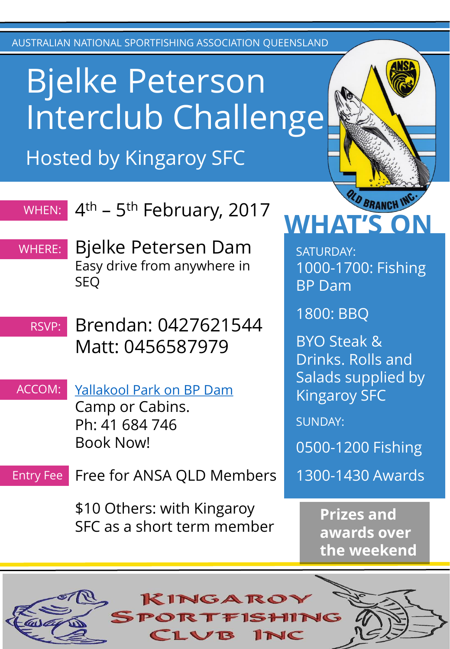AUSTRALIAN NATIONAL SPORTFISHING ASSOCIATION QUEENSLAND

## Bjelke Peterson Interclub Challenge Hosted by Kingaroy SFC

#### 4<sup>th</sup> – 5<sup>th</sup> February, 2017 WHEN:

Bjelke Petersen Dam Easy drive from anywhere in SEQ WHERE:

#### Brendan: 0427621544 Matt: 0456587979 RSVP:

Yallakool [Park on BP Dam](http://www.yallakoolpark.com.au/) Camp or Cabins. Ph: 41 684 746 Book Now! ACCOM:

Free for ANSA QLD Members Entry Fee

> \$10 Others: with Kingaroy SFC as a short term member

# WHAT'S O

SATURDAY: 1000-1700: Fishing BP Dam

1800: BBQ

BYO Steak & Drinks. Rolls and Salads supplied by Kingaroy SFC

SUNDAY:

0500-1200 Fishing

1300-1430 Awards

**Prizes and awards over the weekend**